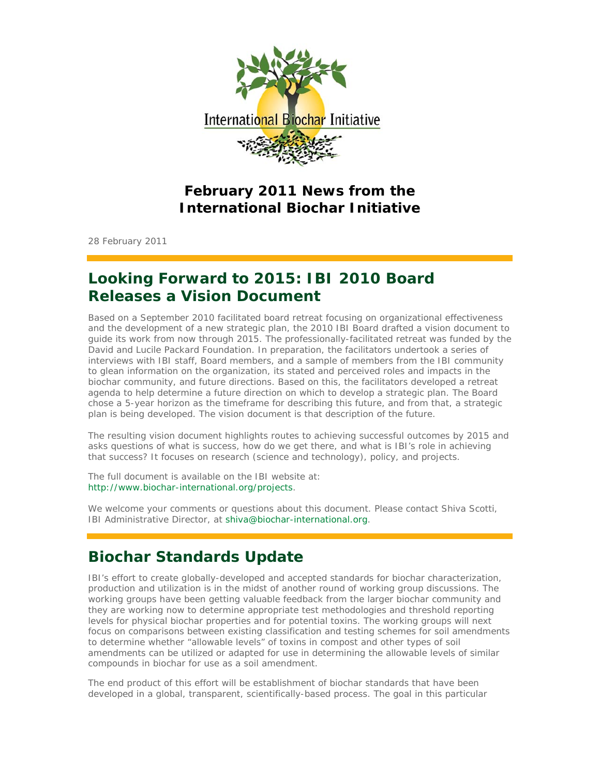

### **February 2011 News from the International Biochar Initiative**

28 February 2011

## **Looking Forward to 2015: IBI 2010 Board Releases a Vision Document**

Based on a September 2010 facilitated board retreat focusing on organizational effectiveness and the development of a new strategic plan, the 2010 IBI Board drafted a vision document to guide its work from now through 2015. The professionally-facilitated retreat was funded by the David and Lucile Packard Foundation. In preparation, the facilitators undertook a series of interviews with IBI staff, Board members, and a sample of members from the IBI community to glean information on the organization, its stated and perceived roles and impacts in the biochar community, and future directions. Based on this, the facilitators developed a retreat agenda to help determine a future direction on which to develop a strategic plan. The Board chose a 5-year horizon as the timeframe for describing this future, and from that, a strategic plan is being developed. The vision document is that description of the future.

The resulting vision document highlights routes to achieving successful outcomes by 2015 and asks questions of what is success, how do we get there, and what is IBI's role in achieving that success? It focuses on research (science and technology), policy, and projects.

The full document is available on the IBI website at: http://www.biochar-international.org/projects.

We welcome your comments or questions about this document. Please contact Shiva Scotti, IBI Administrative Director, at shiva@biochar-international.org.

## **Biochar Standards Update**

IBI's effort to create globally-developed and accepted standards for biochar characterization, production and utilization is in the midst of another round of working group discussions. The working groups have been getting valuable feedback from the larger biochar community and they are working now to determine appropriate test methodologies and threshold reporting levels for physical biochar properties and for potential toxins. The working groups will next focus on comparisons between existing classification and testing schemes for soil amendments to determine whether "allowable levels" of toxins in compost and other types of soil amendments can be utilized or adapted for use in determining the allowable levels of similar compounds in biochar for use as a soil amendment.

The end product of this effort will be establishment of biochar standards that have been developed in a global, transparent, scientifically-based process. The goal in this particular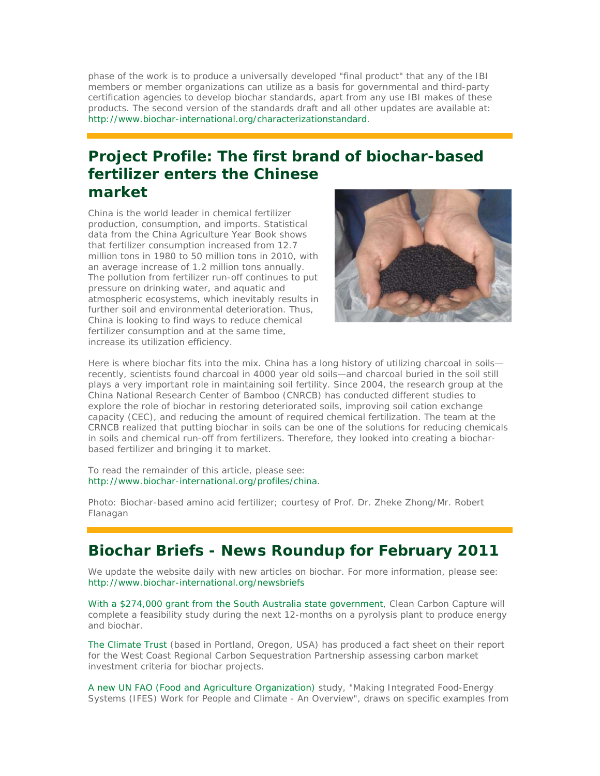phase of the work is to produce a universally developed "final product" that any of the IBI members or member organizations can utilize as a basis for governmental and third-party certification agencies to develop biochar standards, apart from any use IBI makes of these products. The second version of the standards draft and all other updates are available at: http://www.biochar-international.org/characterizationstandard.

## **Project Profile: The first brand of biochar-based fertilizer enters the Chinese market**

China is the world leader in chemical fertilizer production, consumption, and imports. Statistical data from the China Agriculture Year Book shows that fertilizer consumption increased from 12.7 million tons in 1980 to 50 million tons in 2010, with an average increase of 1.2 million tons annually. The pollution from fertilizer run-off continues to put pressure on drinking water, and aquatic and atmospheric ecosystems, which inevitably results in further soil and environmental deterioration. Thus, China is looking to find ways to reduce chemical fertilizer consumption and at the same time, increase its utilization efficiency.



Here is where biochar fits into the mix. China has a long history of utilizing charcoal in soils recently, scientists found charcoal in 4000 year old soils—and charcoal buried in the soil still plays a very important role in maintaining soil fertility. Since 2004, the research group at the China National Research Center of Bamboo (CNRCB) has conducted different studies to explore the role of biochar in restoring deteriorated soils, improving soil cation exchange capacity (CEC), and reducing the amount of required chemical fertilization. The team at the CRNCB realized that putting biochar in soils can be one of the solutions for reducing chemicals in soils and chemical run-off from fertilizers. Therefore, they looked into creating a biocharbased fertilizer and bringing it to market.

To read the remainder of this article, please see: http://www.biochar-international.org/profiles/china.

*Photo: Biochar-based amino acid fertilizer;* courtesy of Prof. Dr. Zheke Zhong/Mr. Robert Flanagan

## **Biochar Briefs - News Roundup for February 2011**

We update the website daily with new articles on biochar. For more information, please see: http://www.biochar-international.org/newsbriefs

With a \$274,000 grant from the South Australia state government, Clean Carbon Capture will complete a feasibility study during the next 12-months on a pyrolysis plant to produce energy and biochar.

The Climate Trust (based in Portland, Oregon, USA) has produced a fact sheet on their report for the West Coast Regional Carbon Sequestration Partnership assessing carbon market investment criteria for biochar projects.

A new UN FAO (Food and Agriculture Organization) study, "Making Integrated Food-Energy Systems (IFES) Work for People and Climate - An Overview", draws on specific examples from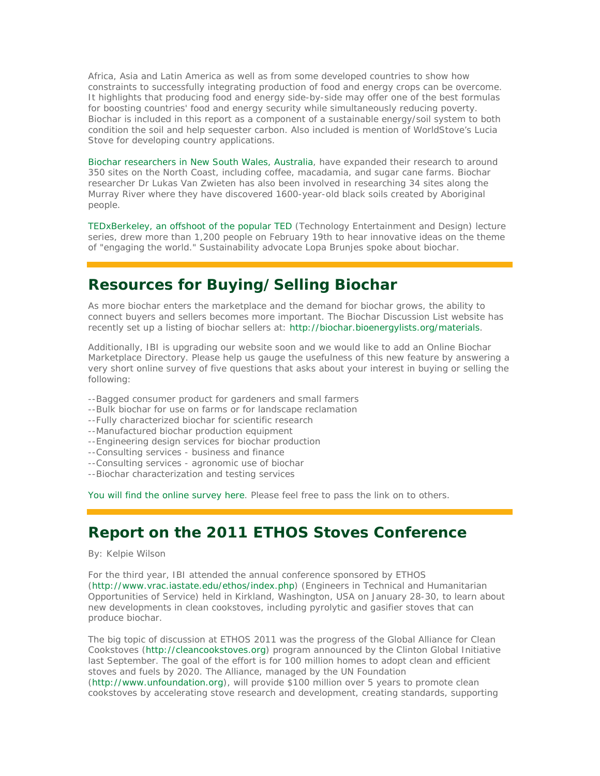Africa, Asia and Latin America as well as from some developed countries to show how constraints to successfully integrating production of food and energy crops can be overcome. It highlights that producing food and energy side-by-side may offer one of the best formulas for boosting countries' food and energy security while simultaneously reducing poverty. Biochar is included in this report as a component of a sustainable energy/soil system to both condition the soil and help sequester carbon. Also included is mention of WorldStove's Lucia Stove for developing country applications.

Biochar researchers in New South Wales, Australia, have expanded their research to around 350 sites on the North Coast, including coffee, macadamia, and sugar cane farms. Biochar researcher Dr Lukas Van Zwieten has also been involved in researching 34 sites along the Murray River where they have discovered 1600-year-old black soils created by Aboriginal people.

TEDxBerkeley, an offshoot of the popular TED (Technology Entertainment and Design) lecture series, drew more than 1,200 people on February 19th to hear innovative ideas on the theme of "engaging the world." Sustainability advocate Lopa Brunjes spoke about biochar.

#### **Resources for Buying/Selling Biochar**

As more biochar enters the marketplace and the demand for biochar grows, the ability to connect buyers and sellers becomes more important. The Biochar Discussion List website has recently set up a listing of biochar sellers at: http://biochar.bioenergylists.org/materials.

Additionally, IBI is upgrading our website soon and we would like to add an Online Biochar Marketplace Directory. Please help us gauge the usefulness of this new feature by answering a very short online survey of five questions that asks about your interest in buying or selling the following:

- --Bagged consumer product for gardeners and small farmers
- --Bulk biochar for use on farms or for landscape reclamation
- --Fully characterized biochar for scientific research
- --Manufactured biochar production equipment
- --Engineering design services for biochar production
- --Consulting services business and finance
- --Consulting services agronomic use of biochar
- --Biochar characterization and testing services

You will find the online survey here. Please feel free to pass the link on to others.

#### **Report on the 2011 ETHOS Stoves Conference**

*By: Kelpie Wilson*

For the third year, IBI attended the annual conference sponsored by ETHOS (http://www.vrac.iastate.edu/ethos/index.php) (Engineers in Technical and Humanitarian Opportunities of Service) held in Kirkland, Washington, USA on January 28-30, to learn about new developments in clean cookstoves, including pyrolytic and gasifier stoves that can produce biochar.

The big topic of discussion at ETHOS 2011 was the progress of the Global Alliance for Clean Cookstoves (http://cleancookstoves.org) program announced by the Clinton Global Initiative last September. The goal of the effort is for 100 million homes to adopt clean and efficient stoves and fuels by 2020. The Alliance, managed by the UN Foundation (http://www.unfoundation.org), will provide \$100 million over 5 years to promote clean cookstoves by accelerating stove research and development, creating standards, supporting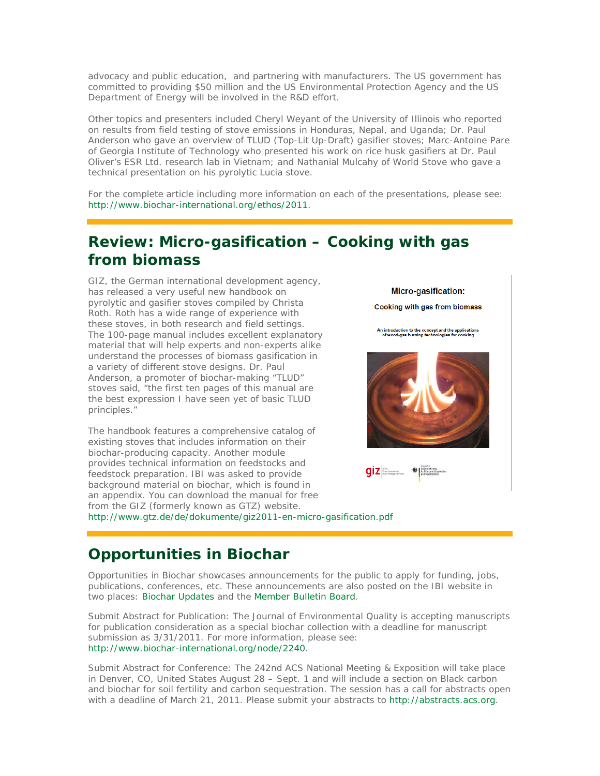advocacy and public education, and partnering with manufacturers. The US government has committed to providing \$50 million and the US Environmental Protection Agency and the US Department of Energy will be involved in the R&D effort.

Other topics and presenters included Cheryl Weyant of the University of Illinois who reported on results from field testing of stove emissions in Honduras, Nepal, and Uganda; Dr. Paul Anderson who gave an overview of TLUD (Top-Lit Up-Draft) gasifier stoves; Marc-Antoine Pare of Georgia Institute of Technology who presented his work on rice husk gasifiers at Dr. Paul Oliver's ESR Ltd. research lab in Vietnam; and Nathanial Mulcahy of World Stove who gave a technical presentation on his pyrolytic Lucia stove.

For the complete article including more information on each of the presentations, please see: http://www.biochar-international.org/ethos/2011.

## **Review: Micro-gasification – Cooking with gas from biomass**

GIZ, the German international development agency, has released a very useful new handbook on pyrolytic and gasifier stoves compiled by Christa Roth. Roth has a wide range of experience with these stoves, in both research and field settings. The 100-page manual includes excellent explanatory material that will help experts and non-experts alike understand the processes of biomass gasification in a variety of different stove designs. Dr. Paul Anderson, a promoter of biochar-making "TLUD" stoves said, "the first ten pages of this manual are the best expression I have seen yet of basic TLUD principles."

The handbook features a comprehensive catalog of existing stoves that includes information on their biochar-producing capacity. Another module provides technical information on feedstocks and feedstock preparation. IBI was asked to provide background material on biochar, which is found in an appendix. You can download the manual for free from the GIZ (formerly known as GTZ) website. http://www.gtz.de/de/dokumente/giz2011-en-micro-gasification.pdf

Cooking with gas from biomass An introduction to the concept and the applications<br>of wood-gas burning technologies for cooking  $qiz$   $\mathbf{z}$   $\mathbf{z}$ 

Micro-gasification:

# **Opportunities in Biochar**

*Opportunities in Biochar* showcases announcements for the public to apply for funding, jobs, publications, conferences, etc. These announcements are also posted on the IBI website in two places: Biochar Updates and the Member Bulletin Board.

*Submit Abstract for Publication*: The Journal of Environmental Quality is accepting manuscripts for publication consideration as a special biochar collection with a deadline for manuscript submission as 3/31/2011. For more information, please see: http://www.biochar-international.org/node/2240.

*Submit Abstract for Conference*: The 242nd ACS National Meeting & Exposition will take place in Denver, CO, United States August 28 – Sept. 1 and will include a section on Black carbon and biochar for soil fertility and carbon sequestration. The session has a call for abstracts open with a deadline of March 21, 2011. Please submit your abstracts to http://abstracts.acs.org.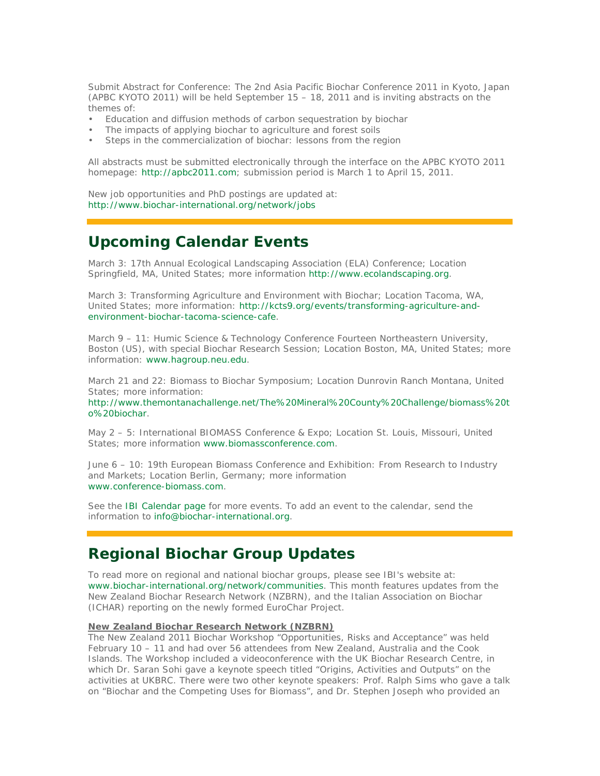*Submit Abstract for Conference*: The 2nd Asia Pacific Biochar Conference 2011 in Kyoto, Japan (APBC KYOTO 2011) will be held September 15 – 18, 2011 and is inviting abstracts on the themes of:

- Education and diffusion methods of carbon sequestration by biochar
- The impacts of applying biochar to agriculture and forest soils
- Steps in the commercialization of biochar: lessons from the region

All abstracts must be submitted electronically through the interface on the APBC KYOTO 2011 homepage: http://apbc2011.com; submission period is March 1 to April 15, 2011.

New job opportunities and PhD postings are updated at: http://www.biochar-international.org/network/jobs

## **Upcoming Calendar Events**

March 3: 17th Annual Ecological Landscaping Association (ELA) Conference; Location Springfield, MA, United States; more information http://www.ecolandscaping.org.

March 3: Transforming Agriculture and Environment with Biochar; Location Tacoma, WA, United States; more information: http://kcts9.org/events/transforming-agriculture-andenvironment-biochar-tacoma-science-cafe.

March 9 – 11: Humic Science & Technology Conference Fourteen Northeastern University, Boston (US), with special Biochar Research Session; Location Boston, MA, United States; more information: www.hagroup.neu.edu.

March 21 and 22: Biomass to Biochar Symposium; Location Dunrovin Ranch Montana, United States; more information:

http://www.themontanachallenge.net/The%20Mineral%20County%20Challenge/biomass%20t o%20biochar.

May 2 – 5: International BIOMASS Conference & Expo; Location St. Louis, Missouri, United States; more information www.biomassconference.com.

June 6 – 10: 19th European Biomass Conference and Exhibition: From Research to Industry and Markets; Location Berlin, Germany; more information www.conference-biomass.com.

See the IBI Calendar page for more events. To add an event to the calendar, send the information to info@biochar-international.org.

#### **Regional Biochar Group Updates**

To read more on regional and national biochar groups, please see IBI's website at: www.biochar-international.org/network/communities. This month features updates from the New Zealand Biochar Research Network (NZBRN), and the Italian Association on Biochar (ICHAR) reporting on the newly formed EuroChar Project.

#### **New Zealand Biochar Research Network (NZBRN)**

The New Zealand 2011 Biochar Workshop "Opportunities, Risks and Acceptance" was held February 10 – 11 and had over 56 attendees from New Zealand, Australia and the Cook Islands. The Workshop included a videoconference with the UK Biochar Research Centre, in which Dr. Saran Sohi gave a keynote speech titled "Origins, Activities and Outputs" on the activities at UKBRC. There were two other keynote speakers: Prof. Ralph Sims who gave a talk on "Biochar and the Competing Uses for Biomass", and Dr. Stephen Joseph who provided an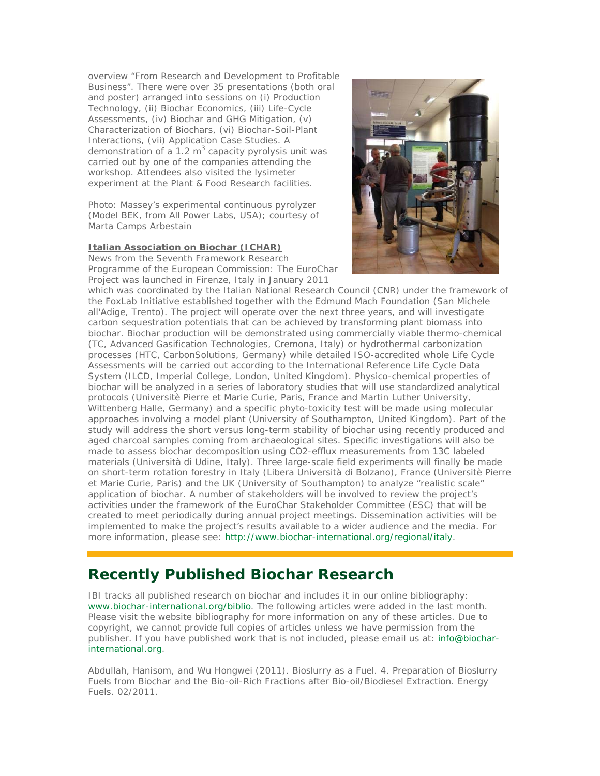overview "From Research and Development to Profitable Business". There were over 35 presentations (both oral and poster) arranged into sessions on (i) Production Technology, (ii) Biochar Economics, (iii) Life-Cycle Assessments, (iv) Biochar and GHG Mitigation, (v) Characterization of Biochars, (vi) Biochar-Soil-Plant Interactions, (vii) Application Case Studies. A demonstration of a  $1.2 \text{ m}^3$  capacity pyrolysis unit was carried out by one of the companies attending the workshop. Attendees also visited the lysimeter experiment at the Plant & Food Research facilities.

*Photo: Massey's experimental continuous pyrolyzer* (Model BEK, from All Power Labs, USA); courtesy of Marta Camps Arbestain

#### **Italian Association on Biochar (ICHAR)**

News from the Seventh Framework Research Programme of the European Commission: The EuroChar Project was launched in Firenze, Italy in January 2011



which was coordinated by the Italian National Research Council (CNR) under the framework of the FoxLab Initiative established together with the Edmund Mach Foundation (San Michele all'Adige, Trento). The project will operate over the next three years, and will investigate carbon sequestration potentials that can be achieved by transforming plant biomass into biochar. Biochar production will be demonstrated using commercially viable thermo-chemical (TC, Advanced Gasification Technologies, Cremona, Italy) or hydrothermal carbonization processes (HTC, CarbonSolutions, Germany) while detailed ISO-accredited whole Life Cycle Assessments will be carried out according to the International Reference Life Cycle Data System (ILCD, Imperial College, London, United Kingdom). Physico-chemical properties of biochar will be analyzed in a series of laboratory studies that will use standardized analytical protocols (Universitè Pierre et Marie Curie, Paris, France and Martin Luther University, Wittenberg Halle, Germany) and a specific phyto-toxicity test will be made using molecular approaches involving a model plant (University of Southampton, United Kingdom). Part of the study will address the short versus long-term stability of biochar using recently produced and aged charcoal samples coming from archaeological sites. Specific investigations will also be made to assess biochar decomposition using CO2-efflux measurements from 13C labeled materials (Università di Udine, Italy). Three large-scale field experiments will finally be made on short-term rotation forestry in Italy (Libera Università di Bolzano), France (Universitè Pierre et Marie Curie, Paris) and the UK (University of Southampton) to analyze "realistic scale" application of biochar. A number of stakeholders will be involved to review the project's activities under the framework of the EuroChar Stakeholder Committee (ESC) that will be created to meet periodically during annual project meetings. Dissemination activities will be implemented to make the project's results available to a wider audience and the media. For more information, please see: http://www.biochar-international.org/regional/italy.

## **Recently Published Biochar Research**

IBI tracks all published research on biochar and includes it in our online bibliography: www.biochar-international.org/biblio. The following articles were added in the last month. Please visit the website bibliography for more information on any of these articles. Due to copyright, we cannot provide full copies of articles unless we have permission from the publisher. If you have published work that is not included, please email us at: info@biocharinternational.org.

Abdullah, Hanisom, and Wu Hongwei (2011). Bioslurry as a Fuel. 4. Preparation of Bioslurry Fuels from Biochar and the Bio-oil-Rich Fractions after Bio-oil/Biodiesel Extraction. Energy Fuels. 02/2011.